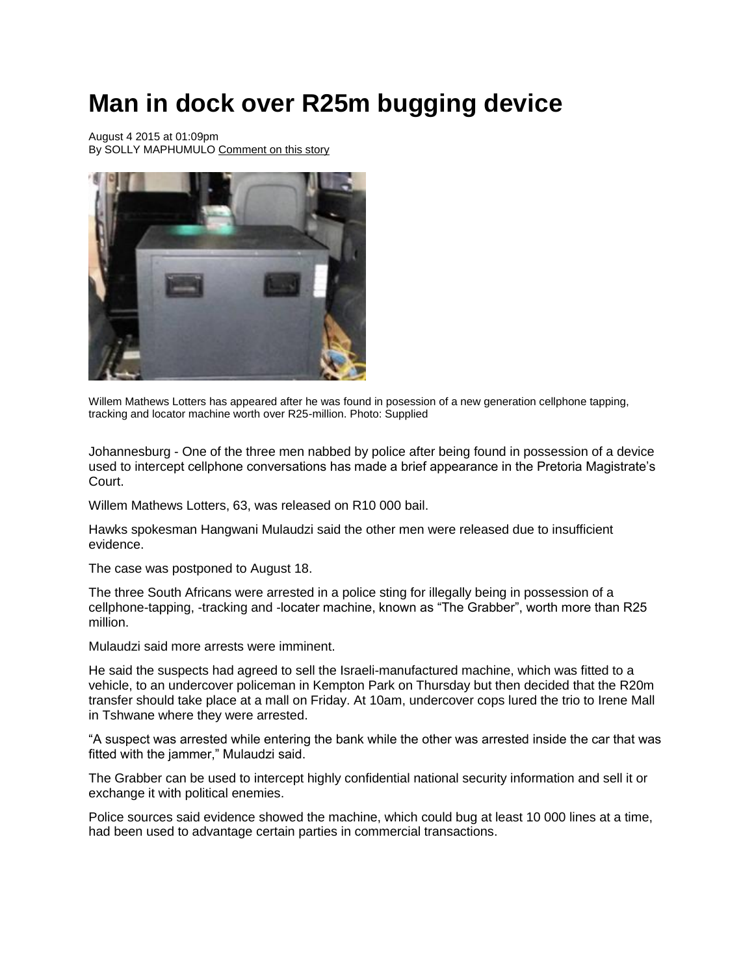## **Man in dock over R25m bugging device**

August 4 2015 at 01:09pm By SOLLY MAPHUMULO [Comment on this story](http://www.iol.co.za/news/crime-courts/man-in-dock-over-r25m-bugging-device-1.1895186#comments_start)



Willem Mathews Lotters has appeared after he was found in posession of a new generation cellphone tapping, tracking and locator machine worth over R25-million. Photo: Supplied

Johannesburg - One of the three men nabbed by police after being found in possession of a device used to intercept cellphone conversations has made a brief appearance in the Pretoria Magistrate's Court.

Willem Mathews Lotters, 63, was released on R10 000 bail.

Hawks spokesman Hangwani Mulaudzi said the other men were released due to insufficient evidence.

The case was postponed to August 18.

The three South Africans were arrested in a police sting for illegally being in possession of a cellphone-tapping, -tracking and -locater machine, known as "The Grabber", worth more than R25 million.

Mulaudzi said more arrests were imminent.

He said the suspects had agreed to sell the Israeli-manufactured machine, which was fitted to a vehicle, to an undercover policeman in Kempton Park on Thursday but then decided that the R20m transfer should take place at a mall on Friday. At 10am, undercover cops lured the trio to Irene Mall in Tshwane where they were arrested.

"A suspect was arrested while entering the bank while the other was arrested inside the car that was fitted with the jammer," Mulaudzi said.

The Grabber can be used to intercept highly confidential national security information and sell it or exchange it with political enemies.

Police sources said evidence showed the machine, which could bug at least 10 000 lines at a time, had been used to advantage certain parties in commercial transactions.